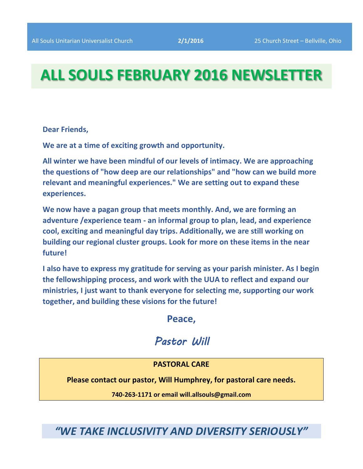# **ALL SOULS FEBRUARY 2016 NEWSLETTER**

**Dear Friends,**

**We are at a time of exciting growth and opportunity.** 

**All winter we have been mindful of our levels of intimacy. We are approaching the questions of "how deep are our relationships" and "how can we build more relevant and meaningful experiences." We are setting out to expand these experiences.** 

**We now have a pagan group that meets monthly. And, we are forming an adventure /experience team - an informal group to plan, lead, and experience cool, exciting and meaningful day trips. Additionally, we are still working on building our regional cluster groups. Look for more on these items in the near future!**

**I also have to express my gratitude for serving as your parish minister. As I begin the fellowshipping process, and work with the UUA to reflect and expand our ministries, I just want to thank everyone for selecting me, supporting our work together, and building these visions for the future!**

**Peace,**

# *Pastor Will*

# **PASTORAL CARE**

**Please contact our pastor, Will Humphrey, for pastoral care needs.**

**740-263-1171 or email will.allsouls@gmail.com**

*"WE TAKE INCLUSIVITY AND DIVERSITY SERIOUSLY"*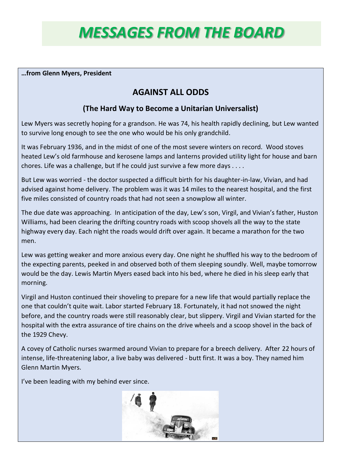# *MESSAGES FROM THE BOARD*

### **…from Glenn Myers, President**

# **AGAINST ALL ODDS**

# **(The Hard Way to Become a Unitarian Universalist)**

Lew Myers was secretly hoping for a grandson. He was 74, his health rapidly declining, but Lew wanted to survive long enough to see the one who would be his only grandchild.

It was February 1936, and in the midst of one of the most severe winters on record. Wood stoves heated Lew's old farmhouse and kerosene lamps and lanterns provided utility light for house and barn chores. Life was a challenge, but If he could just survive a few more days . . . .

But Lew was worried - the doctor suspected a difficult birth for his daughter-in-law, Vivian, and had advised against home delivery. The problem was it was 14 miles to the nearest hospital, and the first five miles consisted of country roads that had not seen a snowplow all winter.

The due date was approaching. In anticipation of the day, Lew's son, Virgil, and Vivian's father, Huston Williams, had been clearing the drifting country roads with scoop shovels all the way to the state highway every day. Each night the roads would drift over again. It became a marathon for the two men.

Lew was getting weaker and more anxious every day. One night he shuffled his way to the bedroom of the expecting parents, peeked in and observed both of them sleeping soundly. Well, maybe tomorrow would be the day. Lewis Martin Myers eased back into his bed, where he died in his sleep early that morning.

Virgil and Huston continued their shoveling to prepare for a new life that would partially replace the one that couldn't quite wait. Labor started February 18. Fortunately, it had not snowed the night before, and the country roads were still reasonably clear, but slippery. Virgil and Vivian started for the hospital with the extra assurance of tire chains on the drive wheels and a scoop shovel in the back of the 1929 Chevy.

A covey of Catholic nurses swarmed around Vivian to prepare for a breech delivery. After 22 hours of intense, life-threatening labor, a live baby was delivered - butt first. It was a boy. They named him Glenn Martin Myers.

I've been leading with my behind ever since.

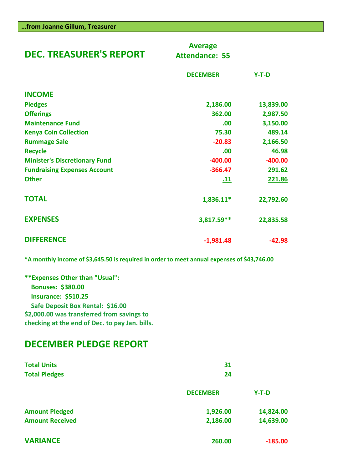| <b>DEC. TREASURER'S REPORT</b>       | <b>Average</b><br><b>Attendance: 55</b> |           |
|--------------------------------------|-----------------------------------------|-----------|
|                                      | <b>DECEMBER</b>                         | $Y-T-D$   |
| <b>INCOME</b>                        |                                         |           |
| <b>Pledges</b>                       | 2,186.00                                | 13,839.00 |
| <b>Offerings</b>                     | 362.00                                  | 2,987.50  |
| <b>Maintenance Fund</b>              | .00                                     | 3,150.00  |
| <b>Kenya Coin Collection</b>         | 75.30                                   | 489.14    |
| <b>Rummage Sale</b>                  | $-20.83$                                | 2,166.50  |
| <b>Recycle</b>                       | .00                                     | 46.98     |
| <b>Minister's Discretionary Fund</b> | $-400.00$                               | $-400.00$ |
| <b>Fundraising Expenses Account</b>  | $-366.47$                               | 291.62    |
| <b>Other</b>                         | <u>.11</u>                              | 221.86    |
| <b>TOTAL</b>                         | 1,836.11*                               | 22,792.60 |
| <b>EXPENSES</b>                      | 3,817.59**                              | 22,835.58 |
| <b>DIFFERENCE</b>                    | $-1,981.48$                             | $-42.98$  |

**\*A monthly income of \$3,645.50 is required in order to meet annual expenses of \$43,746.00**

| ** Expenses Other than "Usual":                |  |
|------------------------------------------------|--|
| Bonuses: \$380.00                              |  |
| <b>Insurance: \$510.25</b>                     |  |
| Safe Deposit Box Rental: \$16.00               |  |
| \$2,000.00 was transferred from savings to     |  |
| checking at the end of Dec. to pay Jan. bills. |  |

# **DECEMBER PLEDGE REPORT**

| <b>Total Units</b><br><b>Total Pledges</b> | 31<br>24        |           |  |
|--------------------------------------------|-----------------|-----------|--|
|                                            | <b>DECEMBER</b> | $Y-T-D$   |  |
| <b>Amount Pledged</b>                      | 1,926.00        | 14,824.00 |  |
| <b>Amount Received</b>                     | 2,186.00        | 14,639.00 |  |
| <b>VARIANCE</b>                            | 260.00          | $-185.00$ |  |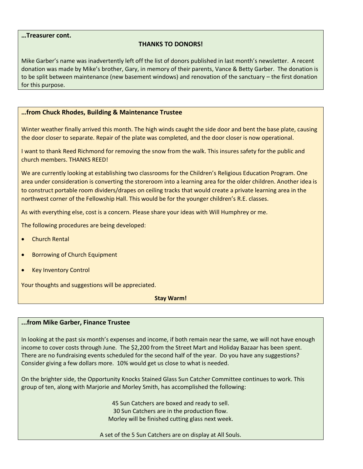#### **…Treasurer cont.**

### **THANKS TO DONORS!**

Mike Garber's name was inadvertently left off the list of donors published in last month's newsletter. A recent donation was made by Mike's brother, Gary, in memory of their parents, Vance & Betty Garber. The donation is to be split between maintenance (new basement windows) and renovation of the sanctuary – the first donation for this purpose.

#### **…from Chuck Rhodes, Building & Maintenance Trustee**

Winter weather finally arrived this month. The high winds caught the side door and bent the base plate, causing the door closer to separate. Repair of the plate was completed, and the door closer is now operational.

I want to thank Reed Richmond for removing the snow from the walk. This insures safety for the public and church members. THANKS REED!

We are currently looking at establishing two classrooms for the Children's Religious Education Program. One area under consideration is converting the storeroom into a learning area for the older children. Another idea is to construct portable room dividers/drapes on ceiling tracks that would create a private learning area in the northwest corner of the Fellowship Hall. This would be for the younger children's R.E. classes.

As with everything else, cost is a concern. Please share your ideas with Will Humphrey or me.

The following procedures are being developed:

- Church Rental
- Borrowing of Church Equipment
- Key Inventory Control

Your thoughts and suggestions will be appreciated.

**Stay Warm!**

#### **...from Mike Garber, Finance Trustee**

In looking at the past six month's expenses and income, if both remain near the same, we will not have enough income to cover costs through June. The \$2,200 from the Street Mart and Holiday Bazaar has been spent. There are no fundraising events scheduled for the second half of the year. Do you have any suggestions? Consider giving a few dollars more. 10% would get us close to what is needed.

On the brighter side, the Opportunity Knocks Stained Glass Sun Catcher Committee continues to work. This group of ten, along with Marjorie and Morley Smith, has accomplished the following:

> 45 Sun Catchers are boxed and ready to sell. 30 Sun Catchers are in the production flow. Morley will be finished cutting glass next week.

A set of the 5 Sun Catchers are on display at All Souls.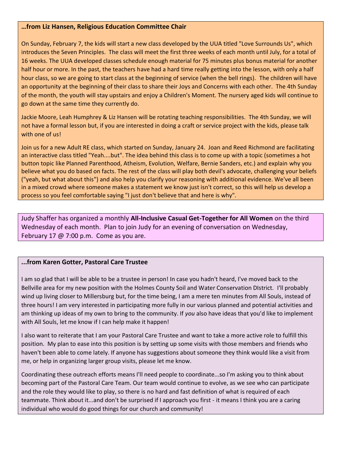#### **…from Liz Hansen, Religious Education Committee Chair**

On Sunday, February 7, the kids will start a new class developed by the UUA titled "Love Surrounds Us", which introduces the Seven Principles. The class will meet the first three weeks of each month until July, for a total of 16 weeks. The UUA developed classes schedule enough material for 75 minutes plus bonus material for another half hour or more. In the past, the teachers have had a hard time really getting into the lesson, with only a half hour class, so we are going to start class at the beginning of service (when the bell rings). The children will have an opportunity at the beginning of their class to share their Joys and Concerns with each other. The 4th Sunday of the month, the youth will stay upstairs and enjoy a Children's Moment. The nursery aged kids will continue to go down at the same time they currently do.

Jackie Moore, Leah Humphrey & Liz Hansen will be rotating teaching responsibilities. The 4th Sunday, we will not have a formal lesson but, if you are interested in doing a craft or service project with the kids, please talk with one of us!

Join us for a new Adult RE class, which started on Sunday, January 24. Joan and Reed Richmond are facilitating an interactive class titled "Yeah....but". The idea behind this class is to come up with a topic (sometimes a hot button topic like Planned Parenthood, Atheism, Evolution, Welfare, Bernie Sanders, etc.) and explain why you believe what you do based on facts. The rest of the class will play both devil's advocate, challenging your beliefs ("yeah, but what about this") and also help you clarify your reasoning with additional evidence. We've all been in a mixed crowd where someone makes a statement we know just isn't correct, so this will help us develop a process so you feel comfortable saying "I just don't believe that and here is why".

Judy Shaffer has organized a monthly **All-Inclusive Casual Get-Together for All Women** on the third Wednesday of each month. Plan to join Judy for an evening of conversation on Wednesday, February 17  $\omega$  7:00 p.m. Come as you are.

#### **...from Karen Gotter, Pastoral Care Trustee**

I am so glad that I will be able to be a trustee in person! In case you hadn't heard, I've moved back to the Bellville area for my new position with the Holmes County Soil and Water Conservation DIstrict. I'll probably wind up living closer to Millersburg but, for the time being, I am a mere ten minutes from All Souls, instead of three hours! I am very interested in participating more fully in our various planned and potential activities and am thinking up ideas of my own to bring to the community. If *you* also have ideas that you'd like to implement with All Souls, let me know if I can help make it happen!

I also want to reiterate that I am your Pastoral Care Trustee and want to take a more active role to fulfill this position. My plan to ease into this position is by setting up some visits with those members and friends who haven't been able to come lately. If anyone has suggestions about someone they think would like a visit from me, or help in organizing larger group visits, please let me know.

Coordinating these outreach efforts means I'll need people to coordinate...so I'm asking you to think about becoming part of the Pastoral Care Team. Our team would continue to evolve, as we see who can participate and the role they would like to play, so there is no hard and fast definition of what is required of each teammate. Think about it...and don't be surprised if I approach you first - it means I think you are a caring individual who would do good things for our church and community!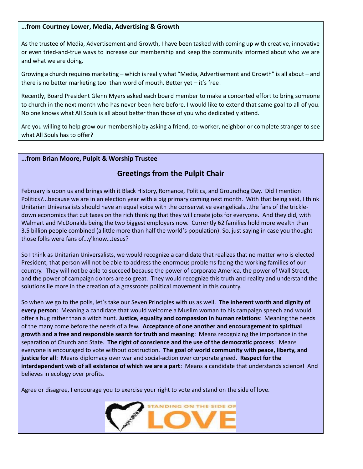#### **…from Courtney Lower, Media, Advertising & Growth**

As the trustee of Media, Advertisement and Growth, I have been tasked with coming up with creative, innovative or even tried-and-true ways to increase our membership and keep the community informed about who we are and what we are doing.

Growing a church requires marketing – which is really what "Media, Advertisement and Growth" is all about – and there is no better marketing tool than word of mouth. Better yet – it's free!

Recently, Board President Glenn Myers asked each board member to make a concerted effort to bring someone to church in the next month who has never been here before. I would like to extend that same goal to all of you. No one knows what All Souls is all about better than those of you who dedicatedly attend.

Are you willing to help grow our membership by asking a friend, co-worker, neighbor or complete stranger to see what All Souls has to offer?

#### **…from Brian Moore, Pulpit & Worship Trustee**

# **Greetings from the Pulpit Chair**

February is upon us and brings with it Black History, Romance, Politics, and Groundhog Day. Did I mention Politics?...because we are in an election year with a big primary coming next month. With that being said, I think Unitarian Universalists should have an equal voice with the conservative evangelicals...the fans of the trickledown economics that cut taxes on the rich thinking that they will create jobs for everyone. And they did, with Walmart and McDonalds being the two biggest employers now. Currently 62 families hold more wealth than 3.5 billion people combined (a little more than half the world's population). So, just saying in case you thought those folks were fans of...y'know...Jesus?

So I think as Unitarian Universalists, we would recognize a candidate that realizes that no matter who is elected President, that person will not be able to address the enormous problems facing the working families of our country. They will not be able to succeed because the power of corporate America, the power of Wall Street, and the power of campaign donors are so great. They would recognize this truth and reality and understand the solutions lie more in the creation of a grassroots political movement in this country.

So when we go to the polls, let's take our Seven Principles with us as well. **The inherent worth and dignity of every person**: Meaning a candidate that would welcome a Muslim woman to his campaign speech and would offer a hug rather than a witch hunt. **Justice, equality and compassion in human relations**: Meaning the needs of the many come before the needs of a few. **Acceptance of one another and encouragement to spiritual growth and a free and responsible search for truth and meaning**: Means recognizing the importance in the separation of Church and State. **The right of conscience and the use of the democratic process**: Means everyone is encouraged to vote without obstruction. **The goal of world community with peace, liberty, and justice for all**: Means diplomacy over war and social-action over corporate greed. **Respect for the interdependent web of all existence of which we are a part**: Means a candidate that understands science! And believes in ecology over profits.

Agree or disagree, I encourage you to exercise your right to vote and stand on the side of love.

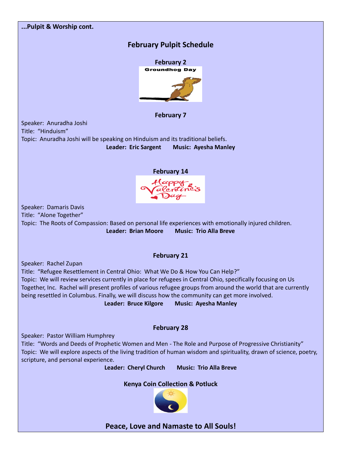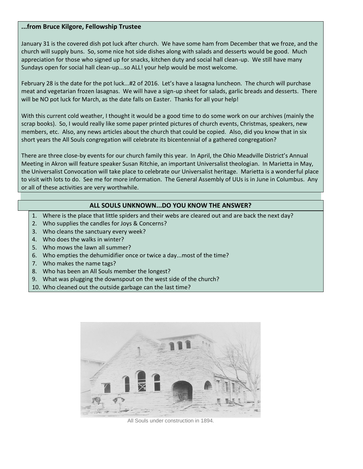#### **...from Bruce Kilgore, Fellowship Trustee**

January 31 is the covered dish pot luck after church. We have some ham from December that we froze, and the church will supply buns. So, some nice hot side dishes along with salads and desserts would be good. Much appreciation for those who signed up for snacks, kitchen duty and social hall clean-up. We still have many Sundays open for social hall clean-up...so ALL! your help would be most welcome.

February 28 is the date for the pot luck...#2 of 2016. Let's have a lasagna luncheon. The church will purchase meat and vegetarian frozen lasagnas. We will have a sign-up sheet for salads, garlic breads and desserts. There will be NO pot luck for March, as the date falls on Easter. Thanks for all your help!

With this current cold weather, I thought it would be a good time to do some work on our archives (mainly the scrap books). So, I would really like some paper printed pictures of church events, Christmas, speakers, new members, etc. Also, any news articles about the church that could be copied. Also, did you know that in six short years the All Souls congregation will celebrate its bicentennial of a gathered congregation?

There are three close-by events for our church family this year. In April, the Ohio Meadville District's Annual Meeting in Akron will feature speaker Susan Ritchie, an important Universalist theologian. In Marietta in May, the Universalist Convocation will take place to celebrate our Universalist heritage. Marietta is a wonderful place to visit with lots to do. See me for more information. The General Assembly of UUs is in June in Columbus. Any or all of these activities are very worthwhile.

# **ALL SOULS UNKNOWN...DO YOU KNOW THE ANSWER?**

- 1. Where is the place that little spiders and their webs are cleared out and are back the next day?
- 2. Who supplies the candles for Joys & Concerns?
- 3. Who cleans the sanctuary every week?
- 4. Who does the walks in winter?
- 5. Who mows the lawn all summer?
- 6. Who empties the dehumidifier once or twice a day...most of the time?
- 7. Who makes the name tags?
- 8. Who has been an All Souls member the longest?
- 9. What was plugging the downspout on the west side of the church?
- 10. Who cleaned out the outside garbage can the last time?



All Souls under construction in 1894.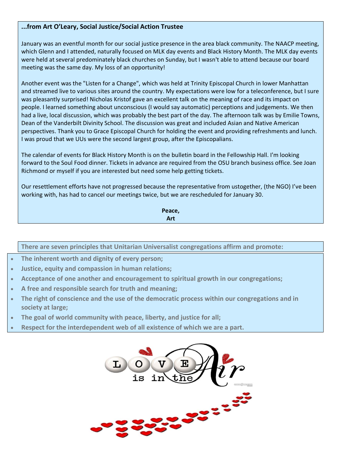#### **...from Art O'Leary, Social Justice/Social Action Trustee**

January was an eventful month for our social justice presence in the area black community. The NAACP meeting, which Glenn and I attended, naturally focused on MLK day events and Black History Month. The MLK day events were held at several predominately black churches on Sunday, but I wasn't able to attend because our board meeting was the same day. My loss of an opportunity!

Another event was the "Listen for a Change", which was held at Trinity Episcopal Church in lower Manhattan and streamed live to various sites around the country. My expectations were low for a teleconference, but I sure was pleasantly surprised! Nicholas Kristof gave an excellent talk on the meaning of race and its impact on people. I learned something about unconscious (I would say automatic) perceptions and judgements. We then had a live, local discussion, which was probably the best part of the day. The afternoon talk was by Emilie Towns, Dean of the Vanderbilt Divinity School. The discussion was great and included Asian and Native American perspectives. Thank you to Grace Episcopal Church for holding the event and providing refreshments and lunch. I was proud that we UUs were the second largest group, after the Episcopalians.

The calendar of events for Black History Month is on the bulletin board in the Fellowship Hall. I'm looking forward to the Soul Food dinner. Tickets in advance are required from the OSU branch business office. See Joan Richmond or myself if you are interested but need some help getting tickets.

Our resettlement efforts have not progressed because the representative from ustogether, (the NGO) I've been working with, has had to cancel our meetings twice, but we are rescheduled for January 30.

> **Peace, Art**

**There are seven principles that Unitarian Universalist congregations affirm and promote:**

- **The inherent worth and dignity of every person;**
- **Justice, equity and compassion in human relations;**
- **Acceptance of one another and encouragement to spiritual growth in our congregations;**
- **A free and responsible search for truth and meaning;**
- **The right of conscience and the use of the democratic process within our congregations and in society at large;**
- **The goal of world community with peace, liberty, and justice for all;**
- **Respect for the interdependent web of all existence of which we are a part.**

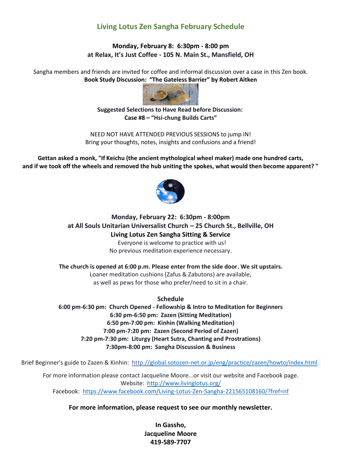# **Living Lotus Zen Sangha February Schedule**

#### **Monday, February 8: 6:30pm - 8:00 pm at Relax, It's Just Coffee - 105 N. Main St., Mansfield, OH**

Sangha members and friends are invited for coffee and informal discussion over a case in this Zen book. **Book Study Discussion: "The Gateless Barrier" by Robert Aitken**



#### **Suggested Selections to Have Read before Discussion: Case #8 – "Hsi-chung Builds Carts"**

NEED NOT HAVE ATTENDED PREVIOUS SESSIONS to jump iN! Bring your thoughts, notes, insights and confusions and a friend!

**Gettan asked a monk, "If Keichu (the ancient mythological wheel maker) made one hundred carts, and if we took off the wheels and removed the hub uniting the spokes, what would then become apparent? "**



### **Monday, February 22: 6:30pm - 8:00pm at All Souls Unitarian Universalist Church – 25 Church St., Bellville, OH Living Lotus Zen Sangha Sitting & Service** Everyone is welcome to practice with us! No previous meditation experience necessary.

**The church is opened at 6:00 p.m. Please enter from the side door. We sit upstairs.** Loaner meditation cushions (Zafus & Zabutons) are available, as well as pews for those who prefer/need to sit in a chair.

**Schedule**

**6:00 pm-6:30 pm: Church Opened - Fellowship & Intro to Meditation for Beginners 6:30 pm-6:50 pm: Zazen (Sitting Meditation) 6:50 pm-7:00 pm: Kinhin (Walking Meditation) 7:00 pm-7:20 pm: Zazen (Second Period of Zazen) 7:20 pm-7:30 pm: Liturgy (Heart Sutra, Chanting and Prostrations) 7:30pm-8:00 pm: Sangha Discussion & Business**

Brief Beginner's guide to Zazen & Kinhin:<http://global.sotozen-net.or.jp/eng/practice/zazen/howto/index.html>

For more information please contact Jacqueline Moore...or visit our website and Facebook page. Website: <http://www.livinglotus.org/> Facebook:<https://www.facebook.com/Living-Lotus-Zen-Sangha-221565108160/?fref=nf>

# **For more information, please request to see our monthly newsletter.**

**In Gassho, Jacqueline Moore 419-589-7707**